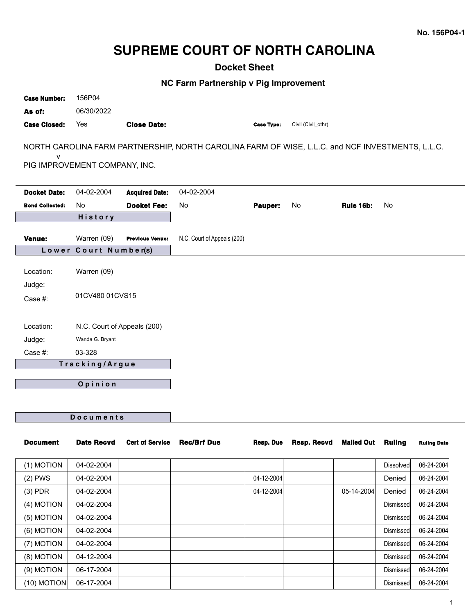# **SUPREME COURT OF NORTH CAROLINA**

**Docket Sheet**

**NC Farm Partnership v Pig Improvement**

| <b>Case Number:</b>    | 156P04                        |                        |                                                                                                  |                   |                    |                  |           |
|------------------------|-------------------------------|------------------------|--------------------------------------------------------------------------------------------------|-------------------|--------------------|------------------|-----------|
| As of:                 | 06/30/2022                    |                        |                                                                                                  |                   |                    |                  |           |
| <b>Case Closed:</b>    | Yes                           | <b>Close Date:</b>     |                                                                                                  | <b>Case Type:</b> | Civil (Civil_othr) |                  |           |
| $\mathsf{V}$           | PIG IMPROVEMENT COMPANY, INC. |                        | NORTH CAROLINA FARM PARTNERSHIP, NORTH CAROLINA FARM OF WISE, L.L.C. and NCF INVESTMENTS, L.L.C. |                   |                    |                  |           |
| <b>Docket Date:</b>    | 04-02-2004                    | <b>Acquired Date:</b>  | 04-02-2004                                                                                       |                   |                    |                  |           |
| <b>Bond Collected:</b> | <b>No</b>                     | <b>Docket Fee:</b>     | <b>No</b>                                                                                        | Pauper:           | No                 | <b>Rule 16b:</b> | <b>No</b> |
|                        | <b>History</b>                |                        |                                                                                                  |                   |                    |                  |           |
| <b>Venue:</b>          | Warren (09)                   | <b>Previous Venue:</b> | N.C. Court of Appeals (200)                                                                      |                   |                    |                  |           |
|                        | Lower Court Number(s)         |                        |                                                                                                  |                   |                    |                  |           |
| Location:              | Warren (09)                   |                        |                                                                                                  |                   |                    |                  |           |
| Judge:<br>Case #:      | 01CV480 01CVS15               |                        |                                                                                                  |                   |                    |                  |           |
| Location:              | N.C. Court of Appeals (200)   |                        |                                                                                                  |                   |                    |                  |           |
| Judge:                 | Wanda G. Bryant               |                        |                                                                                                  |                   |                    |                  |           |
| Case #:                | 03-328                        |                        |                                                                                                  |                   |                    |                  |           |
|                        | Tracking/Argue                |                        |                                                                                                  |                   |                    |                  |           |
|                        | Opinion                       |                        |                                                                                                  |                   |                    |                  |           |

| <b>Document</b> | Date Recvd | <b>Cert of Service</b> | <b>Rec/Brf Due</b> | Resp. Due  | Resp. Recvd | <b>Mailed Out</b> | <b>Rulina</b>    | <b>Ruling Date</b> |
|-----------------|------------|------------------------|--------------------|------------|-------------|-------------------|------------------|--------------------|
| (1) MOTION      | 04-02-2004 |                        |                    |            |             |                   | <b>Dissolved</b> | 06-24-2004         |
| $(2)$ PWS       | 04-02-2004 |                        |                    | 04-12-2004 |             |                   | Denied           | 06-24-2004         |
| $(3)$ PDR       | 04-02-2004 |                        |                    | 04-12-2004 |             | 05-14-2004        | Denied           | 06-24-2004         |
| (4) MOTION      | 04-02-2004 |                        |                    |            |             |                   | Dismissed        | 06-24-2004         |
| (5) MOTION      | 04-02-2004 |                        |                    |            |             |                   | Dismissed        | 06-24-2004         |
| (6) MOTION      | 04-02-2004 |                        |                    |            |             |                   | Dismissed        | 06-24-2004         |
| (7) MOTION      | 04-02-2004 |                        |                    |            |             |                   | Dismissed        | 06-24-2004         |
| (8) MOTION      | 04-12-2004 |                        |                    |            |             |                   | Dismissed        | 06-24-2004         |
| (9) MOTION      | 06-17-2004 |                        |                    |            |             |                   | Dismissedl       | 06-24-2004         |
| (10) MOTION     | 06-17-2004 |                        |                    |            |             |                   | Dismissed        | 06-24-2004         |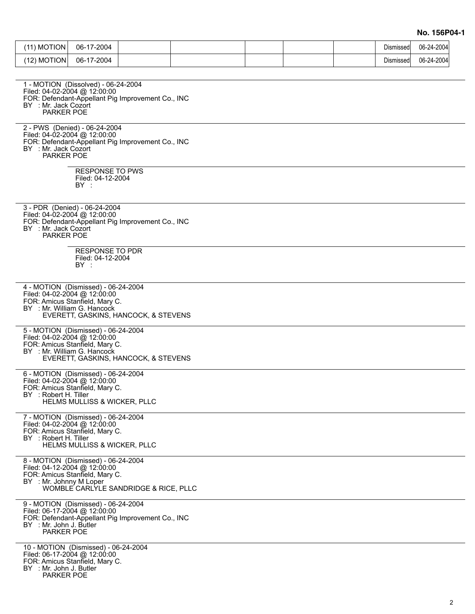**No. 156P04-1**

| (11) MOTION                                                                                                                                     | 06-17-2004                                         |                                                   |  |  | Dismissed | 06-24-2004 |
|-------------------------------------------------------------------------------------------------------------------------------------------------|----------------------------------------------------|---------------------------------------------------|--|--|-----------|------------|
| $(12)$ MOTION                                                                                                                                   | 06-17-2004                                         |                                                   |  |  | Dismissed | 06-24-2004 |
|                                                                                                                                                 |                                                    |                                                   |  |  |           |            |
| 1 - MOTION (Dissolved) - 06-24-2004<br>Filed: 04-02-2004 @ 12:00:00<br>BY : Mr. Jack Cozort<br>PARKER POE                                       |                                                    | FOR: Defendant-Appellant Pig Improvement Co., INC |  |  |           |            |
| 2 - PWS (Denied) - 06-24-2004<br>Filed: 04-02-2004 @ 12:00:00<br>BY : Mr. Jack Cozort<br>PARKER POE                                             |                                                    | FOR: Defendant-Appellant Pig Improvement Co., INC |  |  |           |            |
|                                                                                                                                                 | <b>RESPONSE TO PWS</b><br>Filed: 04-12-2004<br>BY: |                                                   |  |  |           |            |
| 3 - PDR (Denied) - 06-24-2004<br>Filed: 04-02-2004 @ 12:00:00<br>BY : Mr. Jack Cozort<br>PARKER POE                                             |                                                    | FOR: Defendant-Appellant Pig Improvement Co., INC |  |  |           |            |
|                                                                                                                                                 | <b>RESPONSE TO PDR</b><br>Filed: 04-12-2004<br>BY: |                                                   |  |  |           |            |
| 4 - MOTION (Dismissed) - 06-24-2004<br>Filed: 04-02-2004 @ 12:00:00<br>FOR: Amicus Stanfield, Mary C.<br>BY : Mr. William G. Hancock            |                                                    | EVERETT, GASKINS, HANCOCK, & STEVENS              |  |  |           |            |
| 5 - MOTION (Dismissed) - 06-24-2004<br>Filed: 04-02-2004 @ 12:00:00<br>FOR: Amicus Stanfield, Mary C.<br>BY : Mr. William G. Hancock            |                                                    | EVERETT, GASKINS, HANCOCK, & STEVENS              |  |  |           |            |
| 6 - MOTION (Dismissed) - 06-24-2004<br>Filed: 04-02-2004 @ 12:00:00<br>FOR: Amicus Stanfield, Mary C.<br>BY : Robert H. Tiller                  | HELMS MULLISS & WICKER, PLLC                       |                                                   |  |  |           |            |
| 7 - MOTION (Dismissed) - 06-24-2004<br>Filed: 04-02-2004 @ 12:00:00<br>FOR: Amicus Stanfield, Mary C.<br>BY : Robert H. Tiller                  | <b>HELMS MULLISS &amp; WICKER, PLLC</b>            |                                                   |  |  |           |            |
| 8 - MOTION (Dismissed) - 06-24-2004<br>Filed: 04-12-2004 @ 12:00:00<br>FOR: Amicus Stanfield, Mary C.<br>BY : Mr. Johnny M Loper                |                                                    | WOMBLE CARLYLE SANDRIDGE & RICE, PLLC             |  |  |           |            |
| 9 - MOTION (Dismissed) - 06-24-2004<br>Filed: 06-17-2004 @ 12:00:00<br>BY : Mr. John J. Butler<br>PARKER POE                                    |                                                    | FOR: Defendant-Appellant Pig Improvement Co., INC |  |  |           |            |
| 10 - MOTION (Dismissed) - 06-24-2004<br>Filed: 06-17-2004 @ 12:00:00<br>FOR: Amicus Stanfield, Mary C.<br>BY : Mr. John J. Butler<br>PARKER POE |                                                    |                                                   |  |  |           |            |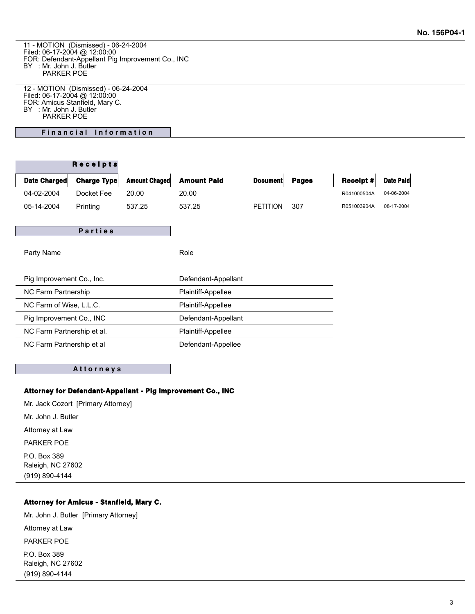11 - MOTION (Dismissed) - 06-24-2004 Filed: 06-17-2004 @ 12:00:00 FOR: Defendant-Appellant Pig Improvement Co., INC BY : Mr. John J. Butler PARKER POE

12 - MOTION (Dismissed) - 06-24-2004 Filed: 06-17-2004 @ 12:00:00 FOR: Amicus Stanfield, Mary C. BY : Mr. John J. Butler PARKER POE

**Financial Information** 

|                            | <b>Receipts</b>    |                      |                     |                 |              |             |            |
|----------------------------|--------------------|----------------------|---------------------|-----------------|--------------|-------------|------------|
| Date Charged               | <b>Charge Type</b> | <b>Amount Chaged</b> | <b>Amount Paid</b>  | <b>Document</b> | <b>Pages</b> | Receipt $#$ | Date Paid  |
| 04-02-2004                 | Docket Fee         | 20.00                | 20.00               |                 |              | R041000504A | 04-06-2004 |
| 05-14-2004                 | Printing           | 537.25               | 537.25              | <b>PETITION</b> | 307          | R051003904A | 08-17-2004 |
|                            |                    |                      |                     |                 |              |             |            |
|                            | <b>Parties</b>     |                      |                     |                 |              |             |            |
| Party Name                 |                    |                      | Role                |                 |              |             |            |
| Pig Improvement Co., Inc.  |                    |                      | Defendant-Appellant |                 |              |             |            |
| NC Farm Partnership        |                    |                      | Plaintiff-Appellee  |                 |              |             |            |
| NC Farm of Wise, L.L.C.    |                    |                      | Plaintiff-Appellee  |                 |              |             |            |
| Pig Improvement Co., INC   |                    |                      | Defendant-Appellant |                 |              |             |            |
| NC Farm Partnership et al. |                    |                      | Plaintiff-Appellee  |                 |              |             |            |
| NC Farm Partnership et al  |                    |                      | Defendant-Appellee  |                 |              |             |            |
|                            |                    |                      |                     |                 |              |             |            |

#### **A t t o r n e y s**

#### **Attorney for Defendant-Appellant - Pig Improvement Co., INC**

Mr. Jack Cozort [Primary Attorney]

Mr. John J. Butler

Attorney at Law

PARKER POE

P.O. Box 389 Raleigh, NC 27602 (919) 890-4144

# **Attorney for Amicus - Stanfield, Mary C.**

Mr. John J. Butler [Primary Attorney]

Attorney at Law

PARKER POE

P.O. Box 389 Raleigh, NC 27602 (919) 890-4144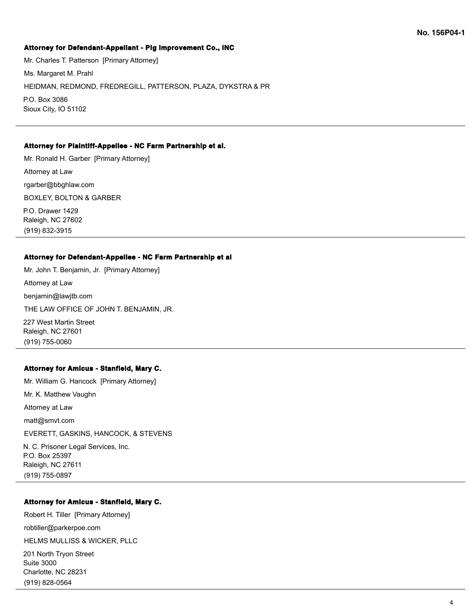## **Attorney for Defendant-Appellant - Pig Improvement Co., INC**

Mr. Charles T. Patterson [Primary Attorney] Ms. Margaret M. Prahl HEIDMAN, REDMOND, FREDREGILL, PATTERSON, PLAZA, DYKSTRA & PR P.O. Box 3086 Sioux City, IO 51102

## **Attorney for Plaintiff-Appellee - NC Farm Partnership et al.**

Mr. Ronald H. Garber [Primary Attorney] Attorney at Law rgarber@bbghlaw.com BOXLEY, BOLTON & GARBER P.O. Drawer 1429 Raleigh, NC 27602 (919) 832-3915

#### **Attorney for Defendant-Appellee - NC Farm Partnership et al**

Mr. John T. Benjamin, Jr. [Primary Attorney] Attorney at Law benjamin@lawjtb.com THE LAW OFFICE OF JOHN T. BENJAMIN, JR. 227 West Martin Street

Raleigh, NC 27601 (919) 755-0060

## **Attorney for Amicus - Stanfield, Mary C.**

Mr. William G. Hancock [Primary Attorney] Mr. K. Matthew Vaughn Attorney at Law matt@smvt.com EVERETT, GASKINS, HANCOCK, & STEVENS N. C. Prisoner Legal Services, Inc. P.O. Box 25397 Raleigh, NC 27611 (919) 755-0897

## **Attorney for Amicus - Stanfield, Mary C.**

Robert H. Tiller [Primary Attorney]

robtiller@parkerpoe.com

HELMS MULLISS & WICKER, PLLC

201 North Tryon Street Suite 3000 Charlotte, NC 28231 (919) 828-0564